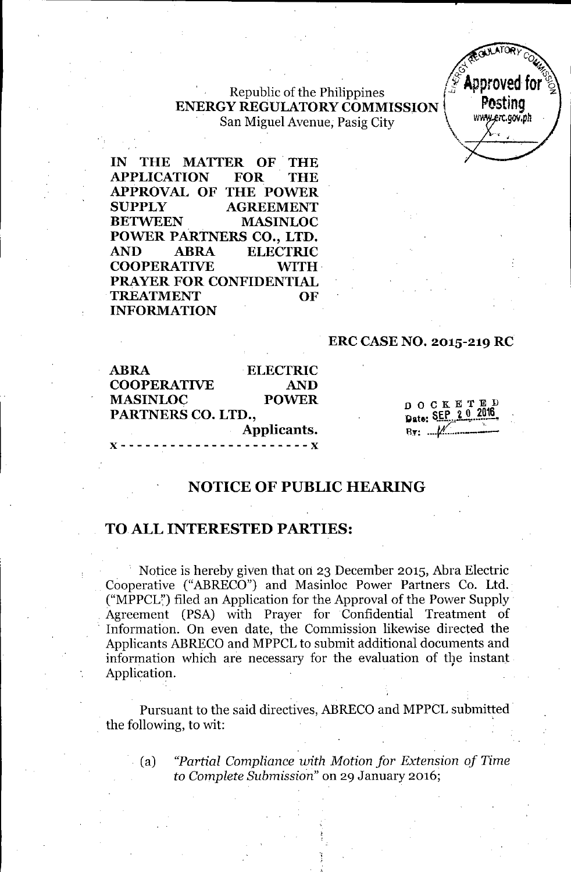. Republic of the Philippines **ENERGY REGULATORY COMMISSION POSTING**<br>San Miguel Avenue Posis City San Miguel Avenue, Pasig City.



**IN THE MATTER OF. THE APPLICATION FOR THE APPROVAL OF THE POWER SUPPLY AGREEMENT BETWEEN MASINLOC POWER PARTNERS CO., LTD. AND ABRA ELECTRIC COOPERATIVE WITH PRAYER FOR CONFIDENTIAL TREATMENT OF INFORMATION**

#### **ERC CASE NO. 2015-219 RC**

| <b>ABRA</b>        | <b>ELECTRIC</b>                   |
|--------------------|-----------------------------------|
| <b>COOPERATIVE</b> | <b>AND</b>                        |
| <b>MASINLOC</b>    | <b>POWER</b>                      |
| PARTNERS CO. LTD., |                                   |
|                    | Applicants.                       |
|                    | - - - - - - - - - - - - - - - - X |

DOCKE<sup>T</sup> Date: SEP 2 0 2016 B,.: *fA ----*

## **NOTICE OF PUBLIC HEARING**

### TO ALL **INTERESTED PARTIES:**

Notice is hereby given that on 23 December 2015, Abra Electric Cooperative ("ABRECO") and Masinloc Power Partners Co. Ltd. ("MPPCL") filed an Application for the Approval of the Power Supply . Agreement (PSA) with Prayer for Confidential Treatment of . Information. On even date, the Commission likewise directed the Applicants ABRECOand MPPCL to submit additional documents and information which are necessary for the evaluation of the instant Application.

Pursuant to the said directives, ABRECO and MPPCL submitted the following, to wit:

.. (a) *"Partial Compliance with Motion for Extension of Time to Complete Submission"* on 29 January 2016;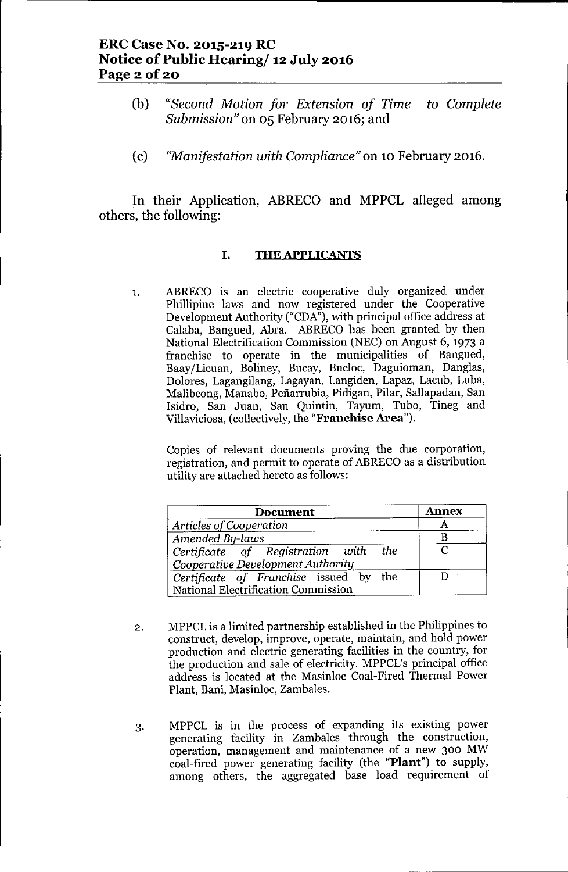- (b) *"Second Motion for Extension of Time to Complete Submission"* on 05 February 2016; and
- (c) *"Manifestation with Compliance"* on 10 February 2016.

In their Application, ABRECO and MPPCL alleged among others, the following:

### I. THE APPLICANTS

1. ABRECO is an electric cooperative duly organized under Phillipine laws and now registered under the Cooperative Development Authority ("CDA"), with principal office address at Calaba, Bangued, Abra. ABRECO has been granted by then National Electrification Commission (NEC) on August 6, 1973 a franchise to operate in the municipalities of Bangued, Baay/Licuan, Boliney, Bucay, Bucloc, Daguioman, Danglas, Dolores, Lagangilang, Lagayan, Langiden, Lapaz, Lacub, Luba, Malibcong, Manabo, Pefiarrubia, Pidigan, Pilar, Sallapadan, San Isidro, San Juan, San Quintin, Tayum, Tubo, Tineg and Villaviciosa, (collectively, the "Franchise Area").

Copies of relevant documents proving the due corporation, registration, and permit to operate of ABRECO as a distribution utility are attached hereto as follows:

| Document                               | <b>Annex</b> |
|----------------------------------------|--------------|
| Articles of Cooperation                |              |
| Amended By-laws                        |              |
| Certificate of Registration with the   |              |
| Cooperative Development Authority      |              |
| Certificate of Franchise issued by the |              |
| National Electrification Commission    |              |

- 2. MPPCL is a limited partnership established in the Philippines to construct, develop, improve, operate, maintain, and hold power production and electric generating facilities in the country, for the production and sale of electricity. MPPCL's principal office address is located at the Masinloc Coal-Fired Thermal Power Plant, Bani, Masinloc, Zambales.
- 3. MPPCL is in the process of expanding its existing power generating facility in Zambales through the construction, operation, management and maintenance of a new 300 MW coal-fired power generating facility (the "Plant") to supply, among others, the aggregated base load requirement of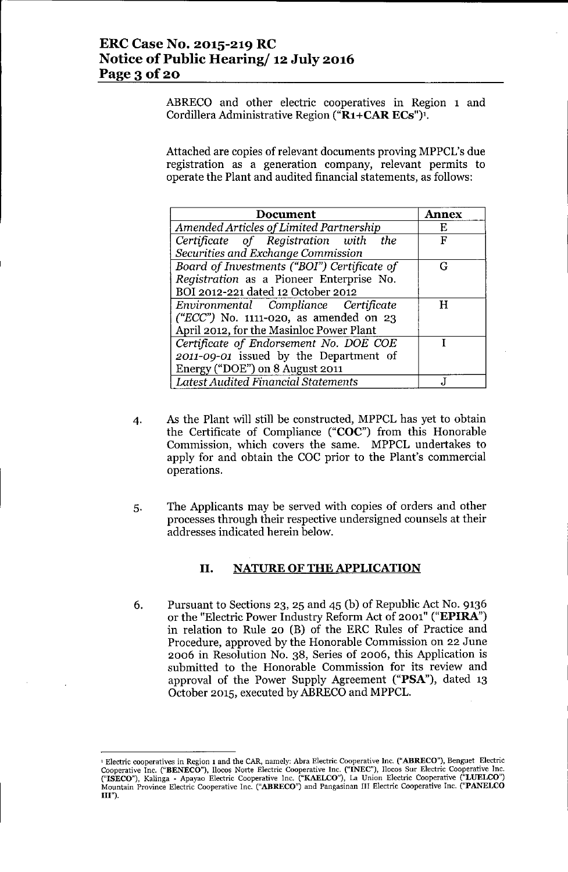ABRECO and other electric cooperatives in Region 1 and Cordillera Administrative Region ("R1+CAR ECs")<sup>1</sup>.

Attached are copies of relevant documents proving MPPCL's due registration as a generation company, relevant permits to operate the Plant and audited financial statements, as follows:

| <b>Document</b>                                   | Annex |
|---------------------------------------------------|-------|
| Amended Articles of Limited Partnership           | Е     |
| Certificate of Registration with the              | F     |
| Securities and Exchange Commission                |       |
| Board of Investments ("BOI") Certificate of       | G     |
| Registration as a Pioneer Enterprise No.          |       |
| BOI 2012-221 dated 12 October 2012                |       |
| Environmental Compliance Certificate              | H     |
| $(^{\prime}ECC$ ") No. 1111-020, as amended on 23 |       |
| April 2012, for the Masinloc Power Plant          |       |
| Certificate of Endorsement No. DOE COE            |       |
| 2011-09-01 issued by the Department of            |       |
| Energy ("DOE") on 8 August 2011                   |       |
| <b>Latest Audited Financial Statements</b>        |       |

- 4. As the Plant will still be constructed, MPPCL has yet to obtain the Certificate of Compliance ("COC") from this Honorable Commission, which covers the same. MPPCL undertakes to apply for and obtain the COC prior to the Plant's commercial operations.
- 5. The Applicants may be served with copies of orders and other processes through their respective undersigned counsels at their addresses indicated herein below.

### II. NATURE OF THE APPLICATION

6. Pursuant to Sections 23, 25 and 45 (b) of Republic Act No. 9136 or the "Electric Power Industry Reform Act of 2001" ("EPIRA") in relation to Rule 20 (B) of the ERC Rules of Practice and Procedure, approved by the Honorable Commission on 22 June 2006 in Resolution No. 38, Series of 2006, this Application is submitted to the Honorable Commission for its review and approval of the Power Supply Agreement ("PSA"), dated 13 October 2015, executed by ABRECOand MPPCL.

<sup>1</sup> Electric cooperatives in Region 1 and the CAR, namely: Abra Electric Cooperative Inc. ("ABRECO"), Benguet Electric Cooperative Inc. ("BENECO"), llocos Norte Electric Cooperative Inc. ("INEC"), llocos Sur Electric Cooperative Inc. ("ISECO"), Kalinga - Apayao Electric Cooperative Inc. ("KAELCO"), La Union Electric Cooperative ("LUELCO") Mountain Province Electric Cooperative Inc. ("ABRECO") and Pangasinan III Electric Cooperative Inc. ("PANELCO  $III$ ").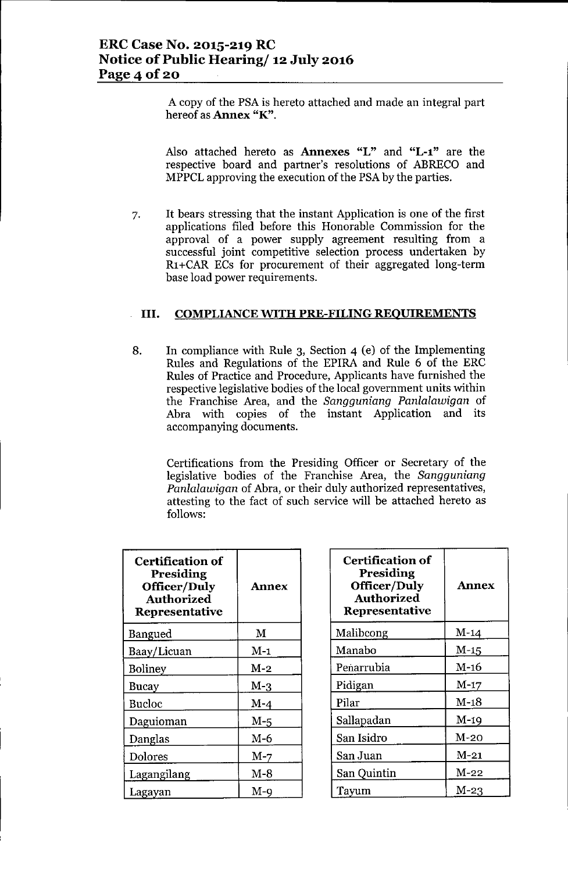A copy of the PSAis hereto attached and made an integral part hereof as Annex "K".

Also attached hereto as Annexes "L" and "L-l" are the respective board and partner's resolutions of ABRECO and MPPCLapproving the execution of the PSAby the parties.

7. It bears stressing that the instant Application is one of the first applications filed before this Honorable Commission for the approval of a power supply agreement resulting from a successful joint competitive selection process undertaken by R1+CAR ECs for procurement of their aggregated long-term base load power requirements.

### III. COMPLIANCE WITH PRE-FILING REOUIREMENTS

8. In compliance with Rule 3, Section 4 (e) of the Implementing Rules and Regulations of the EPIRA and Rule 6 of the ERC Rules of Practice and Procedure, Applicants have furnished the respective legislative bodies of the local government units within the Franchise Area, and the *Sangguniang Panlalawigan* of Abra with copies of the instant Application and its accompanying documents.

Certifications from the Presiding Officer or Secretary of the legislative bodies of the Franchise Area, the *Sangguniang Panlalawigan* of Abra, or their duly authorized representatives, attesting to the fact of such service will be attached hereto as follows:

| <b>Certification of</b><br>Presiding<br><b>Officer/Duly</b><br><b>Authorized</b><br><b>Representative</b> | <b>Annex</b> |
|-----------------------------------------------------------------------------------------------------------|--------------|
| Bangued                                                                                                   | M            |
| Baay/Licuan                                                                                               | $M-1$        |
| <b>Boliney</b>                                                                                            | $M-2$        |
| Bucay                                                                                                     | $M-3$        |
| <b>Bucloc</b>                                                                                             | $M-4$        |
| Daguioman                                                                                                 | $M-5$        |
| Danglas                                                                                                   | $M-6$        |
| Dolores                                                                                                   | $M-7$        |
| Lagangilang                                                                                               | $M-8$        |
| Lagayan                                                                                                   | M-9          |

| <b>Certification of</b><br>Presiding<br>Officer/Duly<br><b>Authorized</b><br><b>Representative</b> | <b>Annex</b> |
|----------------------------------------------------------------------------------------------------|--------------|
| Malibcong                                                                                          | $M-14$       |
| Manabo                                                                                             | $M-15$       |
| Penarrubia                                                                                         | $M-16$       |
| Pidigan                                                                                            | $M-17$       |
| Pilar                                                                                              | $M-18$       |
| Sallapadan                                                                                         | $M-19$       |
| San Isidro                                                                                         | $M-20$       |
| San Juan                                                                                           | $M-21$       |
| San Quintin                                                                                        | $M-22$       |
| Tayum                                                                                              | M-23         |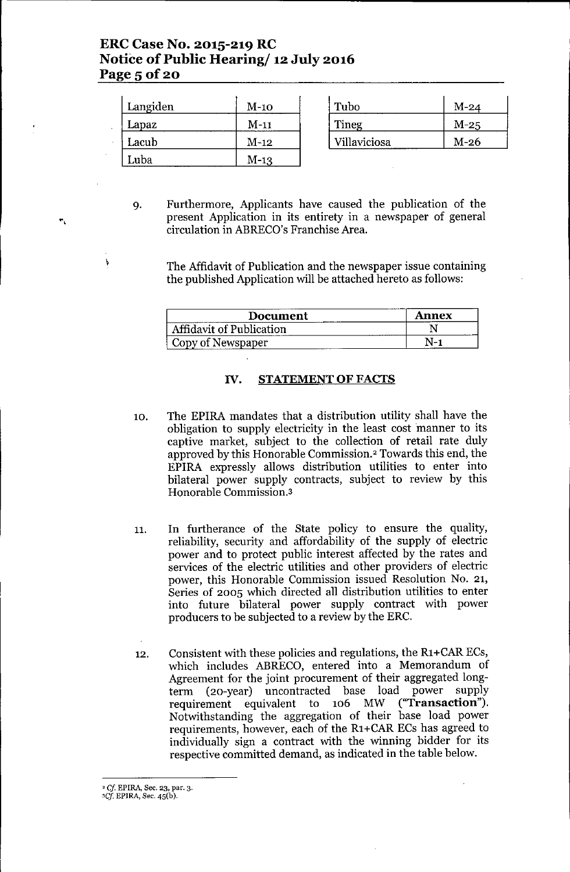# **ERC Case No. 2015-219 RC Notice of Public Hearing/ 12 July 2016 Page** 5 of 20

| Langiden | $M-10$  | Tubo         | $M-24$ |
|----------|---------|--------------|--------|
| Lapaz    | M-11    | <b>Tineg</b> | $M-25$ |
| Lacub    | M-12    | Villaviciosa | $M-26$ |
| Luba     | $M-1.3$ |              |        |

9. Furthermore, Applicants have caused the publication of the present Application in its entirety in a newspaper of general circulation in ABRECO's Franchise Area.

The Affidavit of Publication and the newspaper issue containing the published Application will be attached hereto as follows:

| Document                        | Annex |
|---------------------------------|-------|
| <b>Affidavit of Publication</b> |       |
| Copy of Newspaper               |       |

### IV. STATEMENT**OF** FACTS

- 10. The EPIRA mandates that a distribution utility shall have the obligation to supply electricity in the least cost manner to its captive market, subject to the collection of retail rate duly approved by this Honorable Commission.<sup>2</sup> Towards this end, the EPIRA expressly allows distribution utilities to enter into bilateral power supply contracts, subject to review by this Honorable Commission.3
- 11. In furtherance of the State policy to ensure the quality, reliability, security and affordability of the supply of electric power and to protect public interest affected by the rates and services of the electric utilities and other providers of electric power, this Honorable Commission issued Resolution No. 21, Series of 2005 which directed all distribution utilities to enter into future bilateral power supply contract with power producers to be subjected to a review by the ERC.
- 12. Consistent with these policies and regulations, the R1+CARECs, which includes ABRECO, entered into a Memorandum of Agreement for the joint procurement of their aggregated longterm (20-year) uncontracted base load power supply<br>requirement equivalent to 106 MW ("**Transaction**"). requirement equivalent to  $106$  MW Notwithstanding the aggregation of their base load power requirements, however, each of the R1+CARECs has agreed to individually sign a contract with the winning bidder for its respective committed demand, as indicated in the table below.

\

<sup>2</sup> *Cj* **EPIRA,** Sec. 23. par. 3.

*<sup>&#</sup>x27;Cf* EPlRA, Sec. 45(b).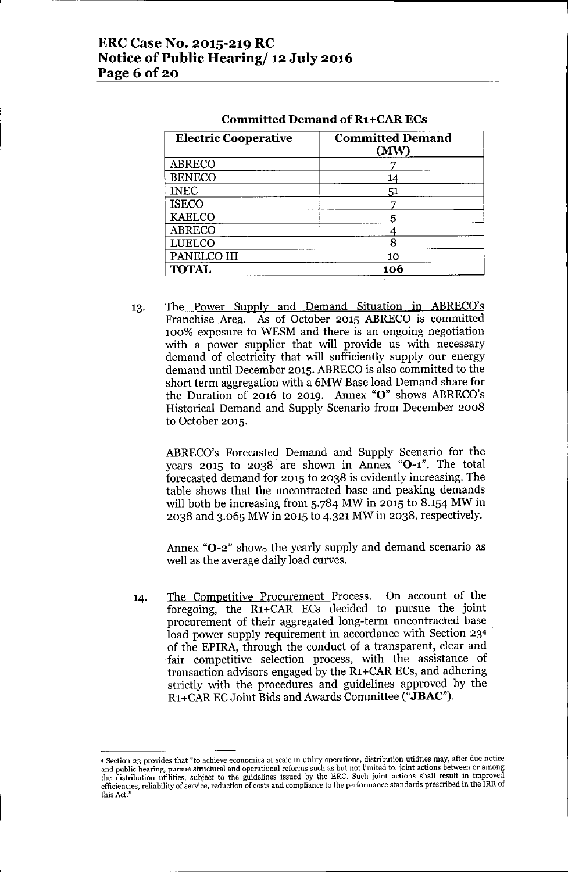## ERC Case No. 2015-219 RC Notice of Public Hearing/ 12 July 2016 Page 6 of 20

| <b>Electric Cooperative</b> | <b>Committed Demand</b><br>(MW) |
|-----------------------------|---------------------------------|
| <b>ABRECO</b>               |                                 |
| <b>BENECO</b>               | 14                              |
| <b>INEC</b>                 | 51                              |
| <b>ISECO</b>                |                                 |
| <b>KAELCO</b>               |                                 |
| <b>ABRECO</b>               |                                 |
| <b>LUELCO</b>               |                                 |
| PANELCO III                 | 10                              |
| <b>TOTAL</b>                | 106                             |

#### Committed Demand of R1+CAR ECs

13. The Power Supply and Demand Situation in ABRECO's Franchise Area. As of October 2015 ABRECO is committed 100% exposure to WESM and there is an ongoing negotiation with a power supplier that will provide us with necessary demand of electricity that will sufficiently supply our energy demand until December 2015. ABRECO is also committed to the short term aggregation with a 6MW Base load Demand share for the Duration of 2016 to 2019. Annex "0" shows ABRECO's Historical Demand and Supply Scenario from December 2008 to October 2015.

ABRECO's Forecasted Demand and Supply Scenario for the years 2015 to 2038 are shown in Annex "O-1". The total forecasted demand for 2015 to 2038 is evidently increasing. The table shows that the uncontracted base and peaking demands will both be increasing from 5.784 MW in 2015 to 8.154 MW in 2038 and 3.065 MW in 2015 to 4.321 MW in 2038, respectively.

Annex "O-2" shows the yearly supply and demand scenario as well as the average daily load curves.

14. The Competitive Procurement Process. On account of the foregoing, the R1+CAR ECs decided to pursue the joint procurement of their aggregated long-term uncontracted base load power supply requirement in accordance with Section 23<sup>4</sup> of the EPlRA, through the conduct of a transparent, clear and fair competitive selection process, with the assistance of transaction advisors engaged by the R1+CAR ECs, and adhering strictly with the procedures and guidelines approved by the R1+CARECJoint Bids and Awards Committee ("JBAC").

<sup>4</sup> Section 23 provides that "to achieve economies of scale in utility operations, distribution utilities may, after due notice and public hearing, pursue structural and operational reforms such as but not limited to, joint actions between or among the distribution utilities, subject to the guidelines issued by the ERC. Such joint actions shall result in improve efficiencies, reliability of service, reduction of costs and compliance to the performance standards prescribed in the IRR of this Act,"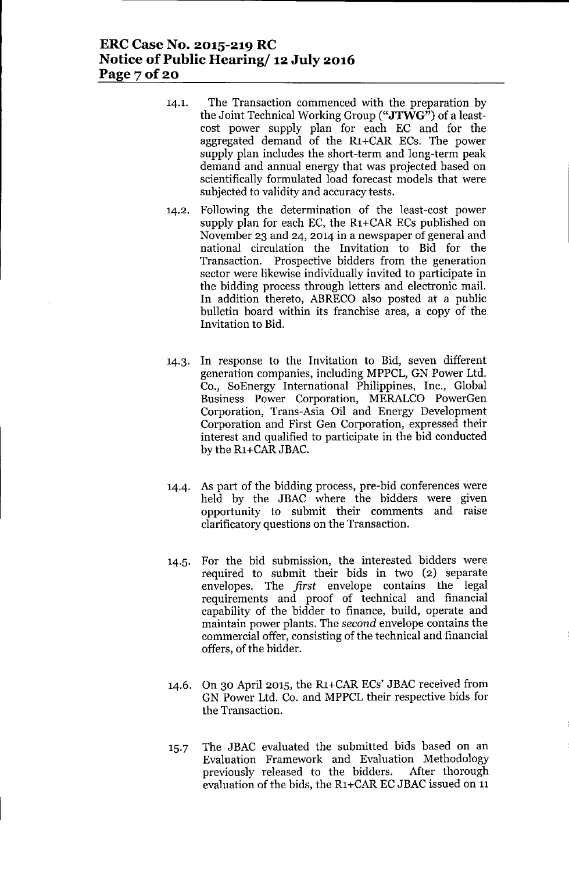## **ERCCase No. 2015-219 RC Notice of Public Hearing/ 12 July 2016 Page 7 of 20**

- 14.1. The Transaction commenced with the preparation by the Joint Technical Working Group ("JTWG") of a leastcost power supply plan for each EC and for the aggregated demand of the Rl+CAR ECs. The power supply plan includes the short-term and long-term peak demand and annual energy that was projected based on scientifically formulated load forecast models that were subjected to validity and accuracy tests.
- 14.2. Following the determination of the least-cost power supply plan for each EC, the  $R1+CAR$  ECs published on November 23 and 24, 2014 in a newspaper of general and national circulation the Invitation to Bid for the Transaction. Prospective bidders from the generation sector were likewise individually invited to participate in the bidding process through letters and electronic mail. In addition thereto, ABRECO also posted at a public bulletin board within its franchise area, a copy of the Invitation to Bid.
- 14.3. In response to the Invitation to Bid, seven different generation companies, including MPPCL, GN Power Ltd. Co., SoEnergy International Philippines, Inc., Global Business Power Corporation, MERALCO PowerGen Corporation, Trans-Asia Oil and Energy Development Corporation and First Gen Corporation, expressed their interest and qualified to participate in the bid conducted by the R<sub>1+</sub>CAR JBAC.
- 14.4. As part of the bidding process, pre-bid conferences were held by the JBAC where the bidders were given opportunity to submit their comments and raise clarificatory questions on the Transaction.
- 14.5. For the bid submission, the interested bidders were required to submit their bids in two (2) separate envelopes. The *first* envelope contains the legal requirements and proof of technical and financial capability of the bidder to finance, build, operate and maintain power plants. The second envelope contains the commercial offer, consisting of the technical and financial offers, of the bidder.
- 14.6. On 30 April 2015, the Rl +CARECs' JBAC received from GN Power Ltd. Co. and MPPCL their respective bids for the Transaction.
- 15.7 The JBAC evaluated the submitted bids based on an Evaluation Framework and Evaluation Methodology previously released to the bidders. After thorough evaluation of the bids, the R1+CAR EC JBAC issued on 11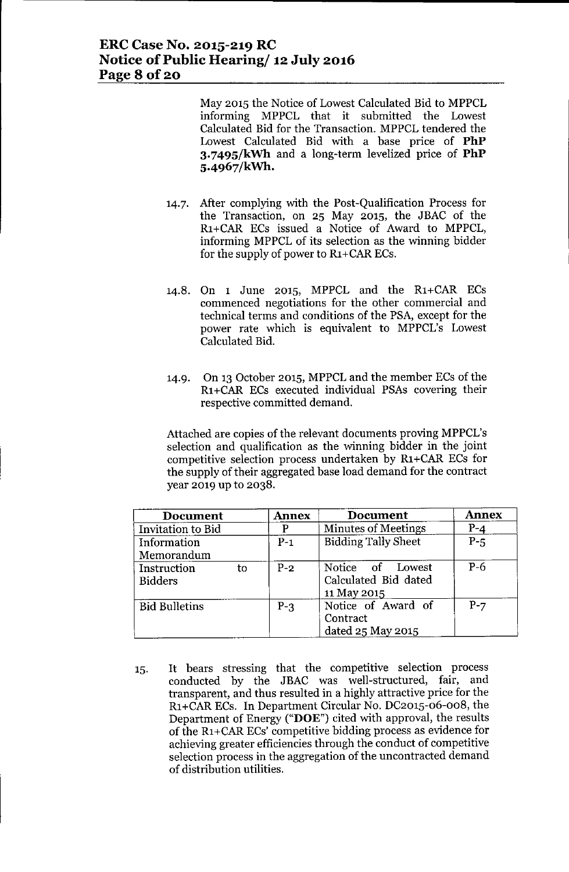May 2015 the Notice of Lowest Calculated Bid to MPPCL informing MPPCL that it submitted the Lowest Calculated Bid for the Transaction. MPPCL tendered the Lowest Calculated Bid with a base price of **PhP 3.749S/kWh** and a long-term levelized price of **PhP S.4967/kWh.**

- 14.7. After complying with the Post-Qualification Process for the Transaction, on 25 May 2015, the JBAC of the R1+CAR ECs issued a Notice of Award to MPPCL, informing MPPCL of its selection as the winning bidder for the supply of power to R<sub>1</sub>+CAR ECs.
- 14.8. On 1 June 2015, MPPCL and the R1+CAR ECs commenced negotiations for the other commercial and technical terms and conditions of the PSA, except for the power rate which is equivalent to MPPCL's Lowest Calculated Bid.
- 14.9. On 13 October 2015, MPPCL and the member ECs of the Rl +CAR ECs executed individual PSAs covering their respective committed demand.

Attached are copies of the relevant documents proving MPPCL's selection and qualification as the winning bidder in the joint competitive selection process undertaken by R1+CAR ECs for the supply of their aggregated base load demand for the contract year 2019 up to 2038.

| <b>Document</b>               | <b>Annex</b> | <b>Document</b>                                         | <b>Annex</b> |
|-------------------------------|--------------|---------------------------------------------------------|--------------|
| Invitation to Bid             |              | <b>Minutes of Meetings</b>                              | $P-4$        |
| Information<br>Memorandum     | $P-1$        | <b>Bidding Tally Sheet</b>                              | $P-5$        |
| Instruction<br><b>Bidders</b> | $P-2$<br>to  | Notice of Lowest<br>Calculated Bid dated<br>11 May 2015 | $P-6$        |
| <b>Bid Bulletins</b>          | $P-3$        | Notice of Award of<br>Contract<br>dated 25 May 2015     | $P-7$        |

15. It bears stressing that the competitive selection process conducted by the JBAC was well-structured, fair, and transparent, and thus resulted in a highly attractive price for the R1+CARECs. **In** Department Circular No. DC2015-06-008, the Department of Energy ("DOE") cited with approval, the results of the Rl+CARECs' competitive bidding process as evidence for achieving greater efficiencies through the conduct of competitive selection process in the aggregation of the uncontracted demand of distribution utilities.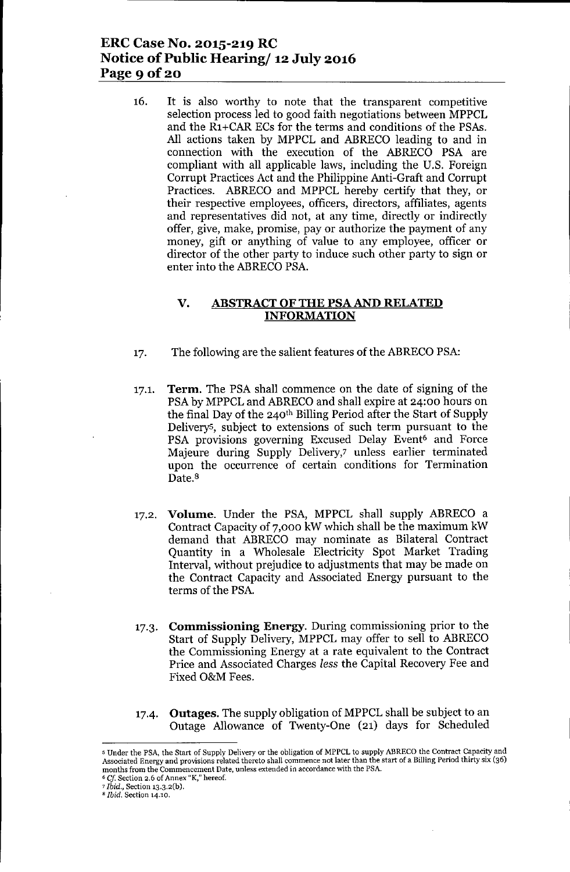## **ERC Case No. 2015-219 RC Notice** of Public **Hearing/ 12 July 2016 Page 9 Of20**

16. It is also worthy to note that the transparent competitive selection process led to good faith negotiations between MPPCL and the R1+CAR ECs for the terms and conditions of the PSAs. All actions taken by MPPCL and ABRECO leading to and in connection with the execution of the ABRECO PSA are compliant with all applicable laws, including the U.S. Foreign Corrupt Practices Act and the Philippine Anti-Graft and Corrupt Practices. ABRECO and MPPCL hereby certify that they, or their respective employees, officers, directors, affiliates, agents and representatives did not, at any time, directly or indirectly offer, give, make, promise, payor authorize the payment of any money, gift or anything of value to any employee, officer or director of the other party to induce such other party to sign or enter into the ABRECO PSA.

#### **V. ABSTRACTOFTHE PSAAND RELATED INFORMATION**

- 17. The following are the salient features of the ABRECO PSA:
- 17.1. **Term.** The PSA shall commence on the date of signing of the PSA by MPPCL and ABRECO and shall expire at 24:00 hours on the final Day of the  $240<sup>th</sup>$  Billing Period after the Start of Supply Deliverys, subject to extensions of such term pursuant to the PSA provisions governing Excused Delay Event<sup>6</sup> and Force Majeure during Supply Delivery,7 unless earlier terminated upon the occurrence of certain conditions for Termination Date.<sup>8</sup>
- 17.2. **Volume.** Under the PSA, MPPCL shall supply ABRECO a Contract Capacity of 7,000 kW which shall be the maximum kW demand that ABRECO may nominate as Bilateral Contract Quantity in a Wholesale Electricity Spot Market Trading Interval, without prejudice to adjustments that may be made on the Contract Capacity and Associated Energy pursuant to the terms of the PSA.
- 17.3. **Commissioning Energy.** During commissioning prior to the Start of Supply Delivery, MPPCL may offer to sell to ABRECO the Commissioning Energy at a rate equivalent to the Contract Price and Associated Charges *less* the Capital Recovery Fee and Fixed O&M Fees.

#### 17-4. **Outages.** The supply obligation of MPPCL shall be subject to an Outage Allowance of Twenty-One (21) days for Scheduled

*<sup>6</sup> Cf* **Section 2.6 of Annex** "K," hereof.

<sup>&</sup>lt;sup>5</sup> Under the PSA, the Start of Supply Delivery or the obligation of MPPCL to supply ABRECO the Contract Capacity and Associated Energy and provisions related thereto shall commence not later than the start of a Billing Period thirty six (36) **months from the Commencement Date, unless extended in accordance with the PSA.**

*<sup>&#</sup>x27;Ibid.,* Section 13.3.2(b).

<sup>8</sup> *Ibid.* **Section 14.10.**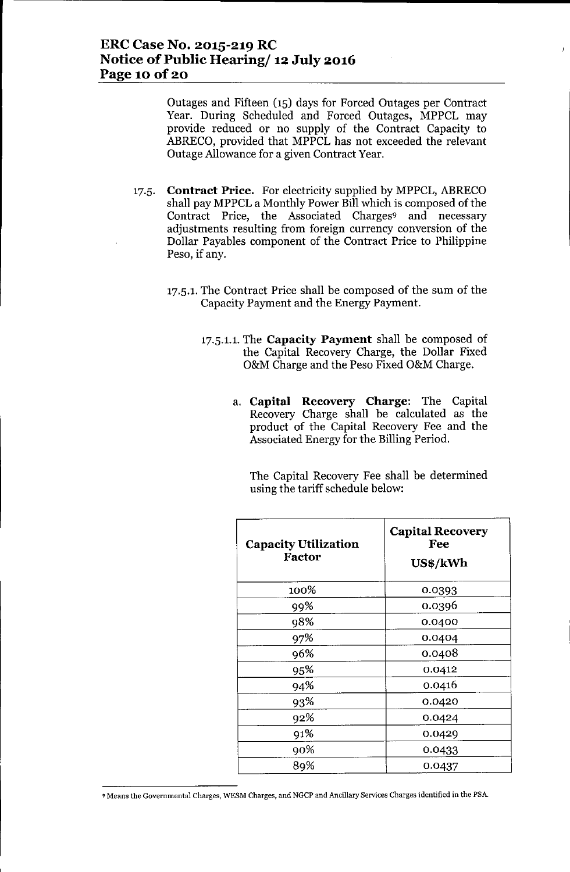Outages and Fifteen (15) days for Forced Outages per Contract Year. During Scheduled and Forced Outages, MPPCL may provide reduced or no supply of the Contract Capacity to ABRECO, provided that MPPCL has not exceeded the relevant Outage Allowance for a given Contract Year.

- 17.5. **Contract Price.** For electricity supplied by MPPCL, ABRECO shall pay MPPCL a Monthly Power Bill which is composed of the Contract Price, the Associated Charges<sup>9</sup> and necessary adjustments resulting from foreign currency conversion of the Dollar Payables component of the Contract Price to Philippine Peso, if any.
	- 17.5.1. The Contract Price shall be composed of the sum of the Capacity Payment and the Energy Payment.
		- 17.5.1.1. The **Capacity Payment** shall be composed of the Capital Recovery Charge, the Dollar Fixed O&M Charge and the Peso Fixed O&M Charge.
			- a. **Capital Recovery Charge:** The Capital Recovery Charge shall be calculated as the product of the Capital Recovery Fee and the Associated Energy for the Billing Period.

The Capital Recovery Fee shall be determined using the tariff schedule below:

| <b>Capacity Utilization</b><br>Factor | <b>Capital Recovery</b><br>Fee<br>US\$/kWh |
|---------------------------------------|--------------------------------------------|
| 100%                                  | 0.0393                                     |
| 99%                                   | 0.0396                                     |
| 98%                                   | 0.0400                                     |
| 97%                                   | 0.0404                                     |
| 96%                                   | 0.0408                                     |
| 95%                                   | 0.0412                                     |
| 94%                                   | 0.0416                                     |
| 93%                                   | 0.0420                                     |
| 92%                                   | 0.0424                                     |
| 91%                                   | 0.0429                                     |
| 90%                                   | 0.0433                                     |
| 89%                                   | 0.0437                                     |

<sup>9</sup> **Means the Governmental Charges, WESM Charges, and NGCP and Ancillary Services Charges identified in the PSA.**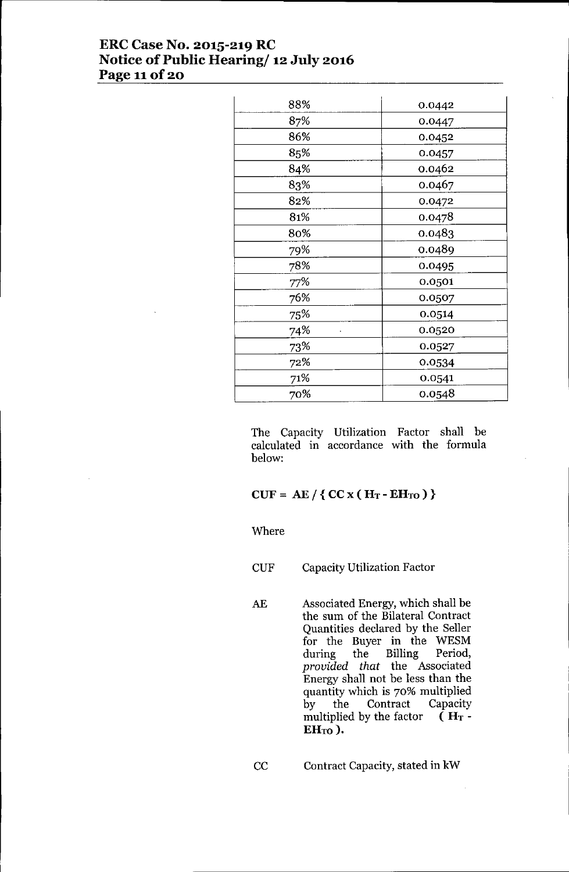# **ERC Case No. 2015-219 RC Notice** of Public **Hearing/ 12 July 2016 Page** 11of 20

| 88% | 0.0442 |
|-----|--------|
| 87% | 0.0447 |
| 86% | 0.0452 |
| 85% | 0.0457 |
| 84% | 0.0462 |
| 83% | 0.0467 |
| 82% | 0.0472 |
| 81% | 0.0478 |
| 80% | 0.0483 |
| 79% | 0.0489 |
| 78% | 0.0495 |
| 77% | 0.0501 |
| 76% | 0.0507 |
| 75% | 0.0514 |
| 74% | 0.0520 |
| 73% | 0.0527 |
| 72% | 0.0534 |
| 71% | 0.0541 |
| 70% | 0.0548 |

The Capacity Utilization Factor shall be calculated in accordance with the formula below:

### $CUF = AE / \{ CC x ( H_T - EH_{TO} ) \}$

#### Where

CUF Capacity Utilization Factor

AE Associated Energy, which shall be the sum of the Bilateral Contract Quantities declared by the Seller for the Buyer in the WESM during the Billing Period, *provided that* the Associated Energy shall not be less than the quantity which is 70% multiplied by the Contract Capacity multiplied by the factor  $(H_T EH_{TO}$ ).

CC Contract Capacity, stated in kW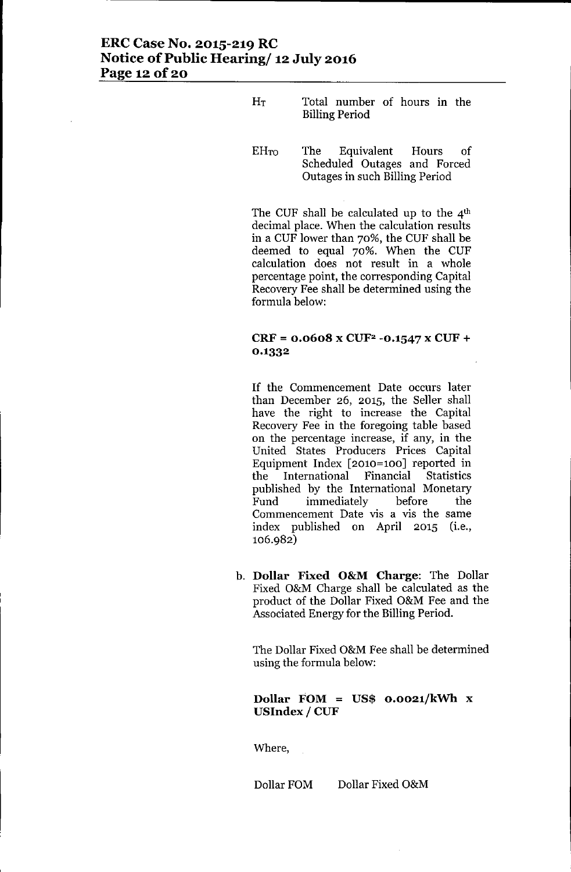# ERC Case No. 2015-219 RC Notice of Public Hearing/ 12 July 2016 Page 12 of 20

- HT Total number of hours in the Billing Period
- EHTo The Equivalent Hours of Scheduled Outages and Forced Outages in such Billing Period

The CUF shall be calculated up to the  $4<sup>th</sup>$ decimal place. When the calculation results in a CUF lower than 70%, the CUF shall be deemed to equal 70%. When the CUF calculation does not result in a whole percentage point, the corresponding Capital Recovery Fee shall be determined using the formula below:

### $CRF = 0.0608 \times CUF^2 -0.1547 \times CUF +$ 0.1332

If the Commencement Date occurs later than December 26, 2015, the Seller shall have the right to increase the Capital Recovery Fee in the foregoing table based on the percentage increase, if any, in the United States Producers Prices Capital Equipment Index [2010=100] reported in the International Financial Statistics published by the International Monetary Fund immediately before the Commencement Date vis a vis the same index published on April 2015 (i.e., 106.982)

b. Dollar Fixed O&M Charge: The Dollar Fixed O&M Charge shall be calculated as the product of the Dollar Fixed O&M Fee and the Associated Energy for the Billing Period.

The Dollar Fixed O&M Fee shall be determined using the formula below:

### Dollar FOM = US\$  $0.0021/kWh$  x USIndex / CUF

Where,

Dollar FOM Dollar Fixed O&M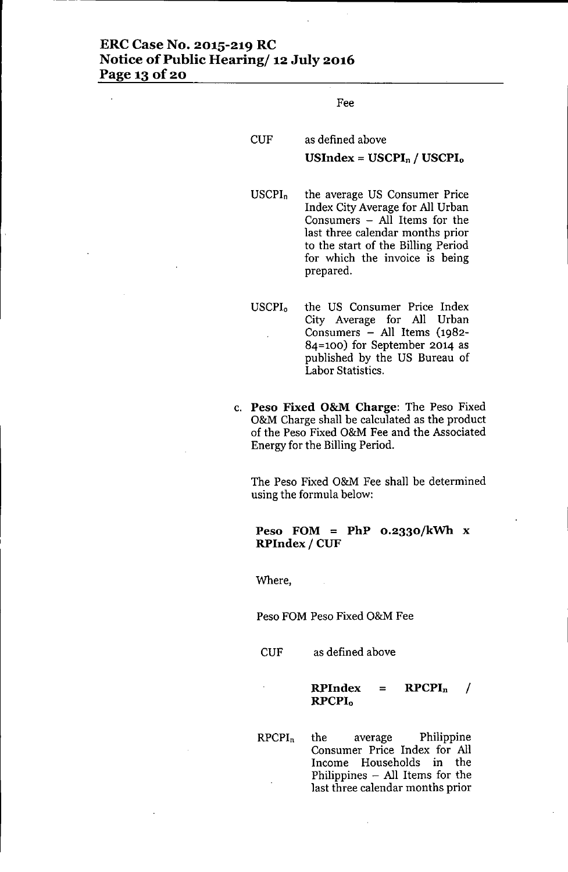## **ERC Case No. 2015-219 RC Notice** of Public **Hearing/ 12 July 2016 Page 13** of 20

Fee

| <b>CUF</b> | as defined above              |
|------------|-------------------------------|
|            | USIndex = $USCPI_n / USCPI_o$ |

USCPI<sup>n</sup> the average US Consumer Price Index City Average for All Urban Consumers - All Items for the last three calendar months prior to the start of the Billing Period for which the invoice is being prepared.

- USCPI<sup>o</sup> the US Consumer Price Index City Average for All Urban Consumers - All Items (1982- 84=100) for September 2014 as published by the US Bureau of Labor Statistics.
- c. **Peso Fixed O&M Charge:** The Peso Fixed O&M Charge shall be calculated as the product of the Peso Fixed O&M Fee and the Associated Energy for the Billing Period.

The Peso Fixed O&M Fee shall be determined using the formula below:

#### **Peso FOM = PhP 0.2330/kWh** x **RPIndex / CUF**

Where,

Peso FOM Peso Fixed O&M Fee

CUF as defined above

 $RPIndex = RPCPI<sub>n</sub>$  / **RPCPIo**

RPCPIn the average Philippine Consumer Price Index for All Income Households in the Philippines  $-$  All Items for the last three calendar months prior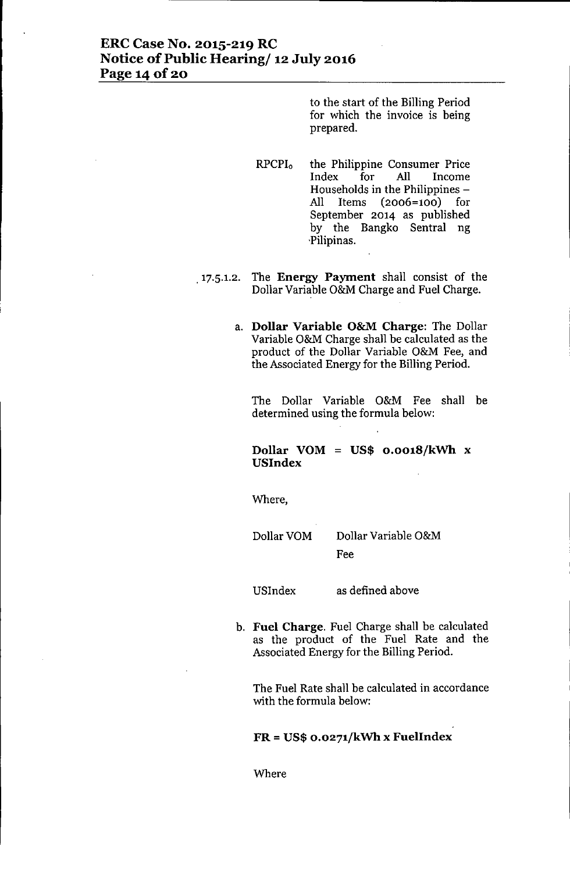## **ERC Case No. 2015-219 RC Notice** of Public **Hearing/ 12 July 2016 Page** 14 of 20

to the start of the Billing Period for which the invoice is being prepared.

- RPCPI<sup>o</sup> the Philippine Consumer Price Index for **All** Income Households in the Philippines -**All** Items (2006=100) for September 2014 as published by the Bangko Sentral ng 'Pilipinas.
- ,17.5.1.2. The **Energy Payment** shall consist of the Dollar Variable O&M Charge and Fuel Charge.
	- a. **Dollar Variable O&M Charge:** The Dollar Variable O&M Charge shall be calculated as the product of the Dollar Variable O&M Fee, and the Associated Energy for the Billing Period.

The Dollar Variable O&M Fee shall be determined using the formula below:

### **Dollar VOM = US\$ o.oo18/kWh** x **USlndex**

Where,

Dollar VOM Dollar Variable O&M Fee

USIndex as defined above

b. **Fuel Charge.** Fuel Charge shall be calculated as the product of the Fuel Rate and the Associated Energy for the Billing Period.

The Fuel Rate shall be calculated in accordance with the formula below:

### **FR = US\$ O.0271/kWh x FuelIndex**

Where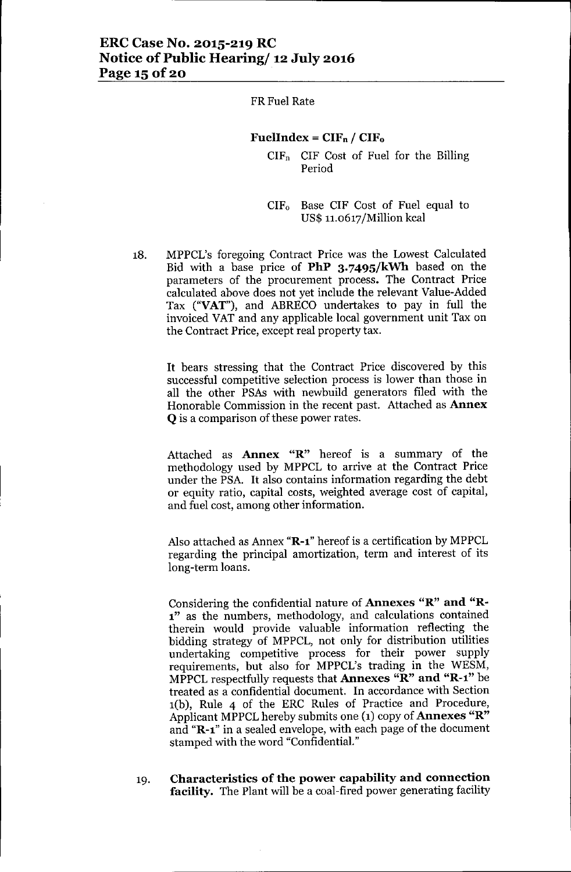## ERC Case No. 2015-219 RC Notice of Public Hearing/ 12 July 2016 Page 15 of 20

FRFuel Rate

#### FuelIndex =  $CIF_n / CIF_o$

 $CIF_n$  CIF Cost of Fuel for the Billing Period

CIF<sup>o</sup> Base CIF Cost of Fuel equal to US\$ 11.o617/Million kcal

18. MPPCL's foregoing Contract Price was the Lowest Calculated Bid with a base price of **PhP 3.7495/kWh** based on the parameters of the procurement process. The Contract Price calculated above does not yet include the relevant Value-Added Tax ("VAT"), and ABRECO undertakes to pay in full the invoiced VAT and any applicable local government unit Tax on the Contract Price, except real property tax.

It bears stressing that the Contract Price discovered by this successful competitive selection process is lower than those in all the other PSAs with newbuild generators filed with the Honorable Commission in the recent past. Attached as Annex **Q** is a comparison of these power rates.

Attached as Annex "R" hereof is a summary of the methodology used by MPPCL to arrive at the Contract Price under the PSA. It also contains information regarding the debt or equity ratio, capital costs, weighted average cost of capital, and fuel cost, among other information.

Also attached as Annex "R-1" hereof is a certification by MPPCL regarding the principal amortization, term and interest of its long-term loans.

Considering the confidential nature of Annexes "R" and "R-1" as the numbers, methodology, and calculations contained therein would provide valuable information reflecting the bidding strategy of MPPCL, not only for distribution utilities undertaking competitive process for their power supply requirements, but also for MPPCL's trading in the WESM, MPPCL respectfully requests that Annexes "R" and "R-1" be treated as a confidential document. In accordance with Section l(b), Rule 4 of the ERC Rules of Practice and Procedure, Applicant MPPCL hereby submits one (1) copy of Annexes "R" and "R-l" in a sealed envelope, with each page of the document stamped with the word "Confidential."

19. Characteristics of the power capability and connection facility. The Plant will be a coal-fired power generating facility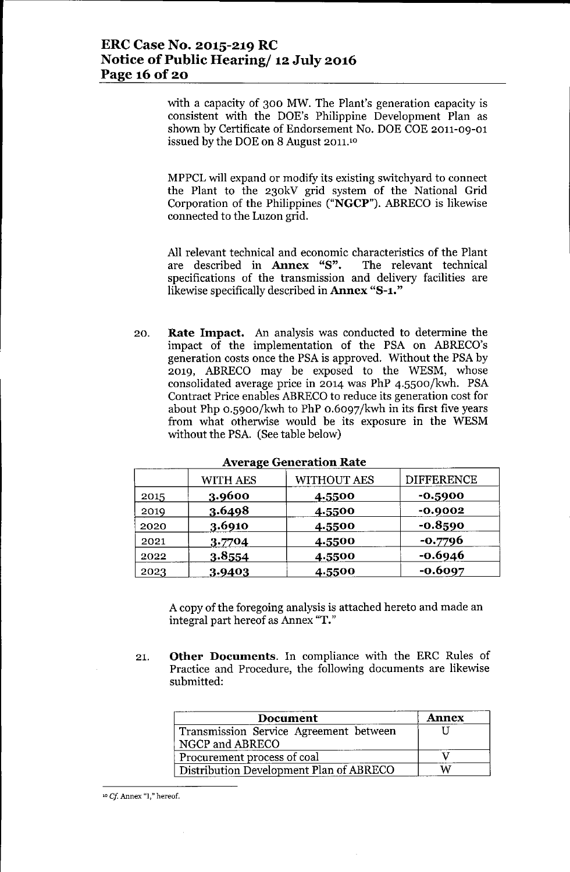with a capacity of 300 MW. The Plant's generation capacity is consistent with the DOE's Philippine Development Plan as shown by Certificate of Endorsement No. DOE COE 2011-09-01 issued by the DOE on 8 August 2011.<sup>10</sup>

MPPCL will expand or modify its existing switchyard to connect the Plant to the 230kV grid system of the National Grid Corporation of the Philippines ("NGCP"). ABRECO is likewise connected to the Luzon grid.

All relevant technical and economic characteristics of the Plant are described in Annex "8". The relevant technical specifications of the transmission and delivery facilities are likewise specifically described in Annex "8-1."

20. Rate Impact. An analysis was conducted to determine the impact of the implementation of the PSA on ABRECO's generation costs once the PSA is approved. Without the PSA by 2019, ABRECO may be exposed to the WESM, whose consolidated average price in 2014 was PhP 4.5500/kwh. PSA Contract Price enables ABRECO to reduce its generation cost for about Php 0.5900/kwh to PhP 0.6097/kwh in its first five years from what otherwise would be its exposure in the WESM without the PSA. (See table below)

|      | <b>WITH AES</b> | <b>WITHOUT AES</b> | <b>DIFFERENCE</b> |
|------|-----------------|--------------------|-------------------|
| 2015 | 3.9600          | 4.5500             | -0.5900           |
| 2019 | 3.6498          | 4.5500             | $-0.9002$         |
| 2020 | 3.6910          | 4.5500             | $-0.8590$         |
| 2021 | 3.7704          | 4.5500             | $-0.7796$         |
| 2022 | 3.8554          | 4.5500             | $-0.6946$         |
| 2023 | 3.9403          | 4.5500             | $-0.6097$         |

**Average Generation Rate** 

A copy of the foregoing analysis is attached hereto and made an integral part hereof as Annex "T."

21. Other Documents. In compliance with the ERC Rules of Practice and Procedure, the following documents are likewise submitted:

| Document                                                  | <b>Annex</b> |
|-----------------------------------------------------------|--------------|
| Transmission Service Agreement between<br>NGCP and ABRECO |              |
| Procurement process of coal                               |              |
| Distribution Development Plan of ABRECO                   |              |

<sup>10</sup> *Cj* Annex "I," hereof.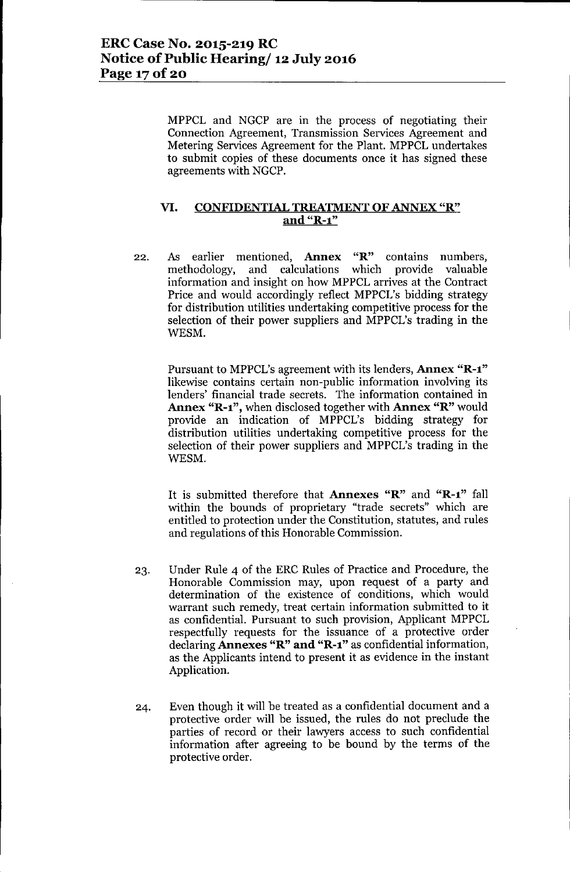MPPCL and NGCP are in the process of negotiating their Connection Agreement, Transmission Services Agreement and Metering Services Agreement for the Plant. MPPCL undertakes to submit copies of these documents once it has signed these agreements with NGCP.

### **VI. CONFIDENTIAL TREATMENT OF ANNEX** "R" **and "R-l"**

22. As earlier mentioned, **Annex** "R" contains numbers, methodology, and calculations which provide valuable information and insight on how MPPCL arrives at the Contract Price and would accordingly reflect MPPCL's bidding strategy for distribution utilities undertaking competitive process for the selection of their power suppliers and MPPCL's trading in the WESM.

Pursuant to MPPCL's agreement with its lenders, **Annex "R-l"** likewise contains certain non-public information involving its lenders' financial trade secrets. The information contained in **Annex "R-l",** when disclosed together with **Annex** "R" would provide an indication of MPPCL's bidding strategy for distribution utilities undertaking competitive process for the selection of their power suppliers and MPPCL's trading in the WESM.

It is submitted therefore that **Annexes** "R" and **"R-l"** fall within the bounds of proprietary "trade secrets" which are entitled to protection under the Constitution, statutes, and rules and regulations of this Honorable Commission.

- 23. Under Rule 4 of the ERC Rules of Practice and Procedure, the Honorable Commission may, upon request of a party and determination of the existence of conditions, which would warrant such remedy, treat certain information submitted to it as confidential. Pursuant to such provision, Applicant MPPCL respectfully requests for the issuance of a protective order declaring **Annexes** "R" **and "R-l"** as confidential information, as the Applicants intend to present it as evidence in the instant Application.
- 24. Even though it will be treated as a confidential document and a protective order will be issued, the rules do not preclude the parties of record or their lawyers access to such confidential information after agreeing to be bound by the terms of the protective order.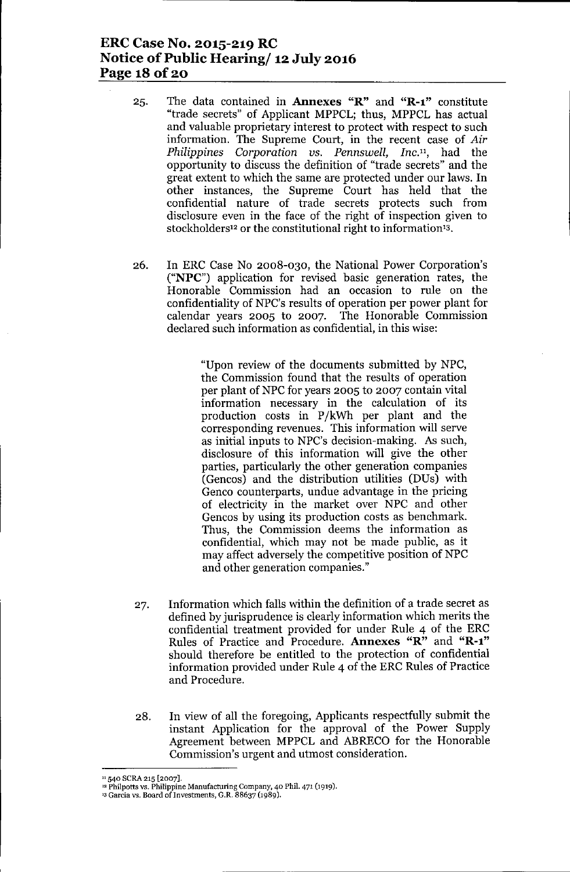## ERC Case No. 2015-219 RC Notice of Public Hearing/ 12 July 2016 Page 18 of 20

- 25. The data contained in **Annexes** " $\mathbb{R}$ " and " $\mathbb{R}-1$ " constitute "trade secrets" of Applicant MPPCL; thus, MPPCL has actual and valuable proprietary interest to protect with respect to such information. The Supreme Court, in the recent case of *Air Philippines Corporation vs. Pennswell, Inc.",* had the opportunity to discuss the definition of "trade secrets" and the great extent to which the same are protected under our laws. In other instances, the Supreme Court has held that the confidential nature of trade secrets protects such from disclosure even in the face of the right of inspection given to stockholders<sup>12</sup> or the constitutional right to information<sup>13</sup>.
- 26. In ERC Case No 2008-030, the National Power Corporation's ("NPC") application for revised basic generation rates, the Honorable Commission had an occasion to rule on the confidentiality of NPC's results of operation per power plant for calendar years 2005 to 2007. The Honorable Commission declared such information as confidential, in this wise:

"Upon review of the documents submitted by NPC, the Commission found that the results of operation per plant of NPC for years 2005 to 2007 contain vital information necessary in the calculation of its production costs in P/kWh per plant and the corresponding revenues. This information will serve as initial inputs to NPC's decision-making. As such, disclosure of this information will give the other parties, particularly the other generation companies (Gencos) and the distribution utilities (DUs) with Genco counterparts, undue advantage in the pricing of electricity in the market over NPC and other Gencos by using its production costs as benchmark. Thus, the Commission deems the information as confidential, which may not be made public, as it may affect adversely the competitive position of NPC and other generation companies."

- 27. Information which falls within the definition of a trade secret as defined by jurisprudence is clearly information which merits the confidential treatment provided for under Rule 4 of the ERC Rules of Practice and Procedure. Annexes "R" and "R-l" should therefore be entitled to the protection of confidential information provided under Rule 4 of the ERC Rules of Practice and Procedure.
- 28. In view of all the foregoing, Applicants respectfully submit the instant Application for the approval of the Power Supply Agreement between MPPCL and ABRECO for the Honorable Commission's urgent and utmost consideration.

<sup>&</sup>lt;sup>11</sup> 540 SCRA 215 [2007].

<sup>12</sup> Philpotts vs. Philippine Manufacturing Company, 40 Phil. 471 (1919).

<sup>&</sup>lt;sup>13</sup> Garcia vs. Board of Investments, G.R. 88637 (1989).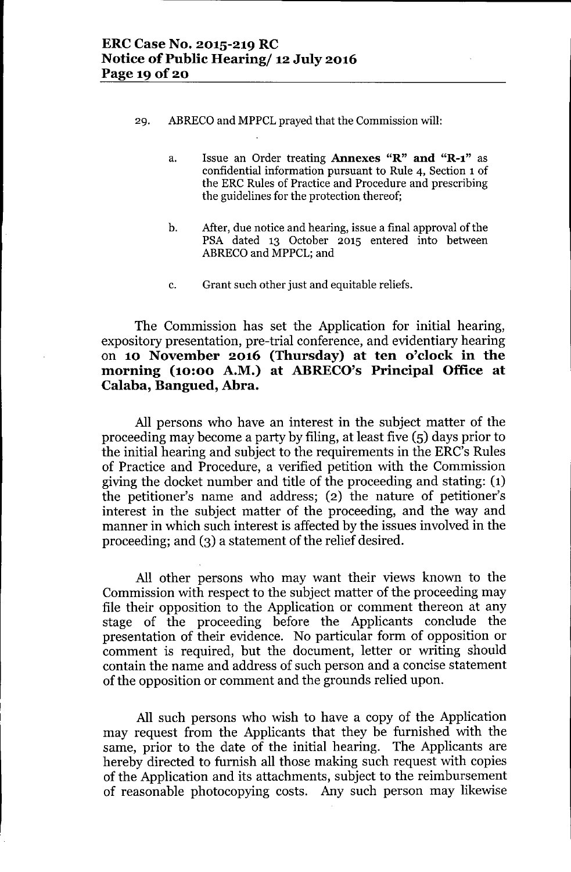- 29. ABRECO and MPPCL prayed that the Commission will:
	- a. Issue an Order treating Annexes "R" **and** "R-l" as confidential information pursuant to Rule 4, Section 1 of the ERC Rules of Practice and Procedure and prescribing the guidelines for the protection thereof;
	- b. After, due notice and hearing, issue a final approval of the PSA dated 13 October 2015 entered into between ABRECO and MPPCL; and
	- c. Grant such other just and equitable reliefs.

The Commission has set the Application for initial hearing, expository presentation, pre-trial conference, and evidentiary hearing on **10 November 2016 (Thursday) at ten o'clock in the morning (10:00 A.M.) at ABRECO's Principal Office at Calaba, Bangued, Abra.**

All persons who have an interest in the subject matter of the proceeding may become a party by filing, at least five (5) days prior to the initial hearing and subject to the requirements in the ERC's Rules of Practice and Procedure, a verified petition with the Commission giving the docket number and title of the proceeding and stating: (1) the petitioner's name and address; (2) the nature of petitioner's interest in the subject matter of the proceeding, and the way and manner in which such interest is affected by the issues involved in the proceeding; and (3) a statement of the relief desired.

All other persons who may want their views known to the Commission with respect to the subject matter of the proceeding may file their opposition to the Application or comment thereon at any stage of the proceeding before the Applicants conclude the presentation of their evidence. No particular form of opposition or comment is required, but the document, letter or writing should contain the name and address of such person and a concise statement of the opposition or comment and the grounds relied upon.

All such persons who wish to have a copy of the Application may request from the Applicants that they be furnished with the same, prior to the date of the initial hearing. The Applicants are hereby directed to furnish all those making such request with copies of the Application and its attachments, subject to the reimbursement of reasonable photocopying costs. Any such person may likewise